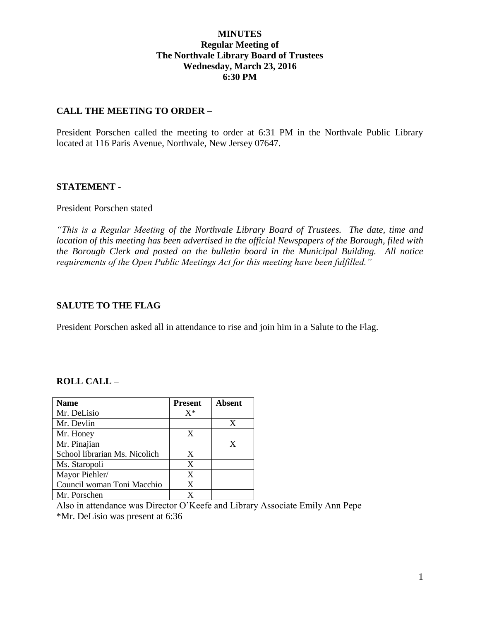# **MINUTES Regular Meeting of The Northvale Library Board of Trustees Wednesday, March 23, 2016 6:30 PM**

### **CALL THE MEETING TO ORDER –**

President Porschen called the meeting to order at 6:31 PM in the Northvale Public Library located at 116 Paris Avenue, Northvale, New Jersey 07647.

### **STATEMENT -**

#### President Porschen stated

*"This is a Regular Meeting of the Northvale Library Board of Trustees. The date, time and location of this meeting has been advertised in the official Newspapers of the Borough, filed with the Borough Clerk and posted on the bulletin board in the Municipal Building. All notice requirements of the Open Public Meetings Act for this meeting have been fulfilled."* 

#### **SALUTE TO THE FLAG**

President Porschen asked all in attendance to rise and join him in a Salute to the Flag.

### **ROLL CALL –**

| <b>Name</b>                   | <b>Present</b> | <b>Absent</b> |
|-------------------------------|----------------|---------------|
| Mr. DeLisio                   | $X^*$          |               |
| Mr. Devlin                    |                | X             |
| Mr. Honey                     | X              |               |
| Mr. Pinajian                  |                | X             |
| School librarian Ms. Nicolich | X              |               |
| Ms. Staropoli                 | X              |               |
| Mayor Piehler/                | X              |               |
| Council woman Toni Macchio    | X              |               |
| Mr. Porschen                  |                |               |

Also in attendance was Director O'Keefe and Library Associate Emily Ann Pepe \*Mr. DeLisio was present at 6:36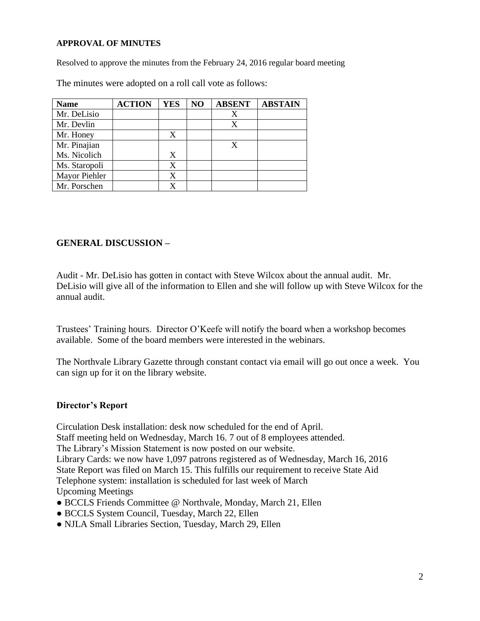#### **APPROVAL OF MINUTES**

Resolved to approve the minutes from the February 24, 2016 regular board meeting

The minutes were adopted on a roll call vote as follows:

| <b>Name</b>   | <b>ACTION</b> | <b>YES</b> | NO | <b>ABSENT</b> | <b>ABSTAIN</b> |
|---------------|---------------|------------|----|---------------|----------------|
| Mr. DeLisio   |               |            |    |               |                |
| Mr. Devlin    |               |            |    | X             |                |
| Mr. Honey     |               | X          |    |               |                |
| Mr. Pinajian  |               |            |    | X             |                |
| Ms. Nicolich  |               | X          |    |               |                |
| Ms. Staropoli |               | X          |    |               |                |
| Mayor Piehler |               | X          |    |               |                |
| Mr. Porschen  |               | X          |    |               |                |

# **GENERAL DISCUSSION –**

Audit - Mr. DeLisio has gotten in contact with Steve Wilcox about the annual audit. Mr. DeLisio will give all of the information to Ellen and she will follow up with Steve Wilcox for the annual audit.

Trustees' Training hours. Director O'Keefe will notify the board when a workshop becomes available. Some of the board members were interested in the webinars.

The Northvale Library Gazette through constant contact via email will go out once a week. You can sign up for it on the library website.

### **Director's Report**

Circulation Desk installation: desk now scheduled for the end of April. Staff meeting held on Wednesday, March 16. 7 out of 8 employees attended. The Library's Mission Statement is now posted on our website. Library Cards: we now have 1,097 patrons registered as of Wednesday, March 16, 2016 State Report was filed on March 15. This fulfills our requirement to receive State Aid Telephone system: installation is scheduled for last week of March Upcoming Meetings

- BCCLS Friends Committee @ Northvale, Monday, March 21, Ellen
- BCCLS System Council, Tuesday, March 22, Ellen
- NJLA Small Libraries Section, Tuesday, March 29, Ellen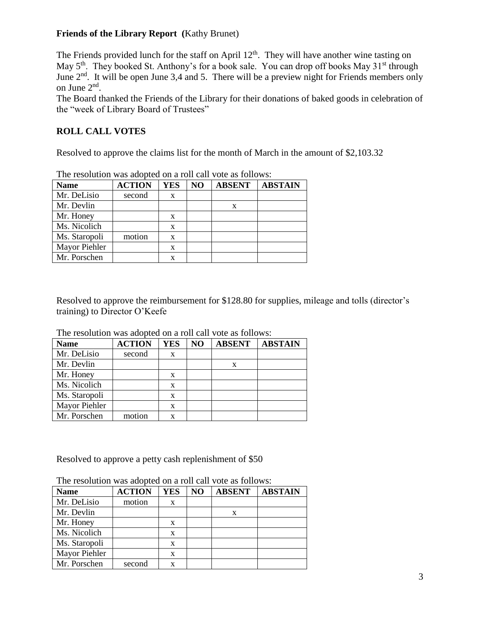# **Friends of the Library Report (**Kathy Brunet)

The Friends provided lunch for the staff on April  $12<sup>th</sup>$ . They will have another wine tasting on May 5<sup>th</sup>. They booked St. Anthony's for a book sale. You can drop off books May 31<sup>st</sup> through June 2<sup>nd</sup>. It will be open June 3,4 and 5. There will be a preview night for Friends members only on June 2nd .

The Board thanked the Friends of the Library for their donations of baked goods in celebration of the "week of Library Board of Trustees"

# **ROLL CALL VOTES**

Resolved to approve the claims list for the month of March in the amount of \$2,103.32

| The resolution was adopted on a roll can vote as follows. |               |     |    |               |                |
|-----------------------------------------------------------|---------------|-----|----|---------------|----------------|
| <b>Name</b>                                               | <b>ACTION</b> | YES | NO | <b>ABSENT</b> | <b>ABSTAIN</b> |
| Mr. DeLisio                                               | second        | X   |    |               |                |
| Mr. Devlin                                                |               |     |    | X             |                |
| Mr. Honey                                                 |               | X   |    |               |                |
| Ms. Nicolich                                              |               | X   |    |               |                |
| Ms. Staropoli                                             | motion        | X   |    |               |                |
| Mayor Piehler                                             |               | X   |    |               |                |
| Mr. Porschen                                              |               |     |    |               |                |

The resolution was adopted on a roll call vote as follows:

Resolved to approve the reimbursement for \$128.80 for supplies, mileage and tolls (director's training) to Director O'Keefe

| The resolution was adopted on a fon early tole as follows: |               |     |    |               |                |  |
|------------------------------------------------------------|---------------|-----|----|---------------|----------------|--|
| <b>Name</b>                                                | <b>ACTION</b> | YES | NO | <b>ABSENT</b> | <b>ABSTAIN</b> |  |
| Mr. DeLisio                                                | second        | X   |    |               |                |  |
| Mr. Devlin                                                 |               |     |    | X             |                |  |
| Mr. Honey                                                  |               | X   |    |               |                |  |
| Ms. Nicolich                                               |               | X   |    |               |                |  |
| Ms. Staropoli                                              |               | X   |    |               |                |  |
| Mayor Piehler                                              |               | X   |    |               |                |  |
| Mr. Porschen                                               | motion        | x   |    |               |                |  |

The resolution was adopted on a roll call vote as follows:

Resolved to approve a petty cash replenishment of \$50

| <b>Name</b>   | <b>ACTION</b> | YES | NO | <b>ABSENT</b> | <b>ABSTAIN</b> |
|---------------|---------------|-----|----|---------------|----------------|
| Mr. DeLisio   | motion        | X   |    |               |                |
| Mr. Devlin    |               |     |    | X             |                |
| Mr. Honey     |               | X   |    |               |                |
| Ms. Nicolich  |               | X   |    |               |                |
| Ms. Staropoli |               | X   |    |               |                |
| Mayor Piehler |               | x   |    |               |                |
| Mr. Porschen  | second        |     |    |               |                |

The resolution was adopted on a roll call vote as follows: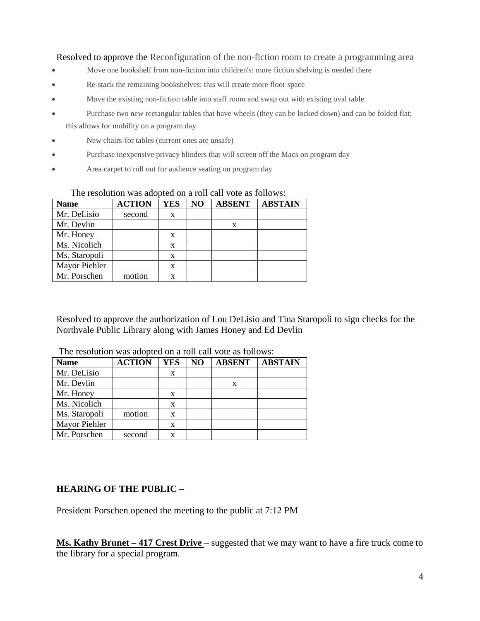Resolved to approve the Reconfiguration of the non-fiction room to create a programming area

- Move one bookshelf from non-fiction into children's: more fiction shelving is needed there
- Re-stack the remaining bookshelves: this will create more floor space
- Move the existing non-fiction table into staff room and swap out with existing oval table
- Purchase two new rectangular tables that have wheels (they can be locked down) and can be folded flat; this allows for mobility on a program day
- New chairs-for tables (current ones are unsafe)
- Purchase inexpensive privacy blinders that will screen off the Macs on program day
- Area carpet to roll out for audience seating on program day

| <b>Name</b>   | <b>ACTION</b> | <b>YES</b> | NO | <b>ABSENT</b> | <b>ABSTAIN</b> |
|---------------|---------------|------------|----|---------------|----------------|
| Mr. DeLisio   | second        | X          |    |               |                |
| Mr. Devlin    |               |            |    |               |                |
| Mr. Honey     |               | x          |    |               |                |
| Ms. Nicolich  |               | X          |    |               |                |
| Ms. Staropoli |               | X          |    |               |                |
| Mayor Piehler |               | x          |    |               |                |
| Mr. Porschen  | motion        |            |    |               |                |

#### The resolution was adopted on a roll call vote as follows:

Resolved to approve the authorization of Lou DeLisio and Tina Staropoli to sign checks for the Northvale Public Library along with James Honey and Ed Devlin

| <b>Name</b>   | <b>ACTION</b> | <b>YES</b> | N <sub>O</sub> | <b>ABSENT</b> | <b>ABSTAIN</b> |
|---------------|---------------|------------|----------------|---------------|----------------|
| Mr. DeLisio   |               | X          |                |               |                |
| Mr. Devlin    |               |            |                | X             |                |
| Mr. Honey     |               | X          |                |               |                |
| Ms. Nicolich  |               | X          |                |               |                |
| Ms. Staropoli | motion        | x          |                |               |                |
| Mayor Piehler |               | x          |                |               |                |
| Mr. Porschen  | second        | x          |                |               |                |

The resolution was adopted on a roll call vote as follows:

# **HEARING OF THE PUBLIC –**

President Porschen opened the meeting to the public at 7:12 PM

**Ms. Kathy Brunet – 417 Crest Drive** – suggested that we may want to have a fire truck come to the library for a special program.